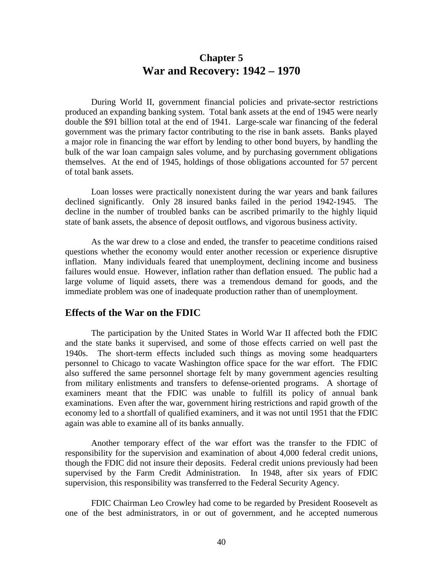# **Chapter 5 War and Recovery: 1942 – 1970**

During World II, government financial policies and private-sector restrictions produced an expanding banking system. Total bank assets at the end of 1945 were nearly double the \$91 billion total at the end of 1941. Large-scale war financing of the federal government was the primary factor contributing to the rise in bank assets. Banks played a major role in financing the war effort by lending to other bond buyers, by handling the bulk of the war loan campaign sales volume, and by purchasing government obligations themselves. At the end of 1945, holdings of those obligations accounted for 57 percent of total bank assets.

Loan losses were practically nonexistent during the war years and bank failures declined significantly. Only 28 insured banks failed in the period 1942-1945. The decline in the number of troubled banks can be ascribed primarily to the highly liquid state of bank assets, the absence of deposit outflows, and vigorous business activity.

As the war drew to a close and ended, the transfer to peacetime conditions raised questions whether the economy would enter another recession or experience disruptive inflation. Many individuals feared that unemployment, declining income and business failures would ensue. However, inflation rather than deflation ensued. The public had a large volume of liquid assets, there was a tremendous demand for goods, and the immediate problem was one of inadequate production rather than of unemployment.

#### **Effects of the War on the FDIC**

The participation by the United States in World War II affected both the FDIC and the state banks it supervised, and some of those effects carried on well past the 1940s. The short-term effects included such things as moving some headquarters personnel to Chicago to vacate Washington office space for the war effort. The FDIC also suffered the same personnel shortage felt by many government agencies resulting from military enlistments and transfers to defense-oriented programs. A shortage of examiners meant that the FDIC was unable to fulfill its policy of annual bank examinations. Even after the war, government hiring restrictions and rapid growth of the economy led to a shortfall of qualified examiners, and it was not until 1951 that the FDIC again was able to examine all of its banks annually.

Another temporary effect of the war effort was the transfer to the FDIC of responsibility for the supervision and examination of about 4,000 federal credit unions, though the FDIC did not insure their deposits. Federal credit unions previously had been supervised by the Farm Credit Administration. In 1948, after six years of FDIC supervision, this responsibility was transferred to the Federal Security Agency.

FDIC Chairman Leo Crowley had come to be regarded by President Roosevelt as one of the best administrators, in or out of government, and he accepted numerous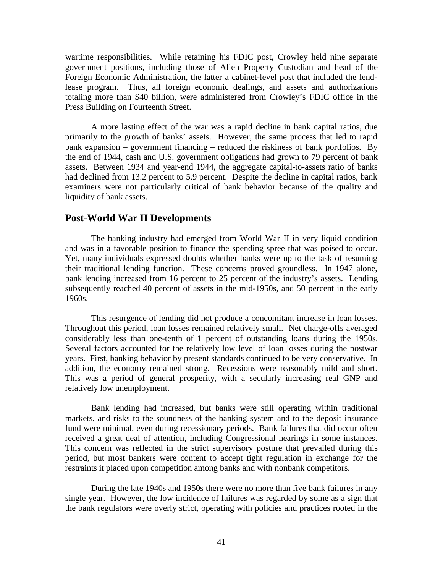wartime responsibilities. While retaining his FDIC post, Crowley held nine separate government positions, including those of Alien Property Custodian and head of the Foreign Economic Administration, the latter a cabinet-level post that included the lendlease program. Thus, all foreign economic dealings, and assets and authorizations totaling more than \$40 billion, were administered from Crowley's FDIC office in the Press Building on Fourteenth Street.

A more lasting effect of the war was a rapid decline in bank capital ratios, due primarily to the growth of banks' assets. However, the same process that led to rapid bank expansion – government financing – reduced the riskiness of bank portfolios. By the end of 1944, cash and U.S. government obligations had grown to 79 percent of bank assets. Between 1934 and year-end 1944, the aggregate capital-to-assets ratio of banks had declined from 13.2 percent to 5.9 percent. Despite the decline in capital ratios, bank examiners were not particularly critical of bank behavior because of the quality and liquidity of bank assets.

#### **Post-World War II Developments**

The banking industry had emerged from World War II in very liquid condition and was in a favorable position to finance the spending spree that was poised to occur. Yet, many individuals expressed doubts whether banks were up to the task of resuming their traditional lending function. These concerns proved groundless. In 1947 alone, bank lending increased from 16 percent to 25 percent of the industry's assets. Lending subsequently reached 40 percent of assets in the mid-1950s, and 50 percent in the early 1960s.

This resurgence of lending did not produce a concomitant increase in loan losses. Throughout this period, loan losses remained relatively small. Net charge-offs averaged considerably less than one-tenth of 1 percent of outstanding loans during the 1950s. Several factors accounted for the relatively low level of loan losses during the postwar years. First, banking behavior by present standards continued to be very conservative. In addition, the economy remained strong. Recessions were reasonably mild and short. This was a period of general prosperity, with a secularly increasing real GNP and relatively low unemployment.

Bank lending had increased, but banks were still operating within traditional markets, and risks to the soundness of the banking system and to the deposit insurance fund were minimal, even during recessionary periods. Bank failures that did occur often received a great deal of attention, including Congressional hearings in some instances. This concern was reflected in the strict supervisory posture that prevailed during this period, but most bankers were content to accept tight regulation in exchange for the restraints it placed upon competition among banks and with nonbank competitors.

During the late 1940s and 1950s there were no more than five bank failures in any single year. However, the low incidence of failures was regarded by some as a sign that the bank regulators were overly strict, operating with policies and practices rooted in the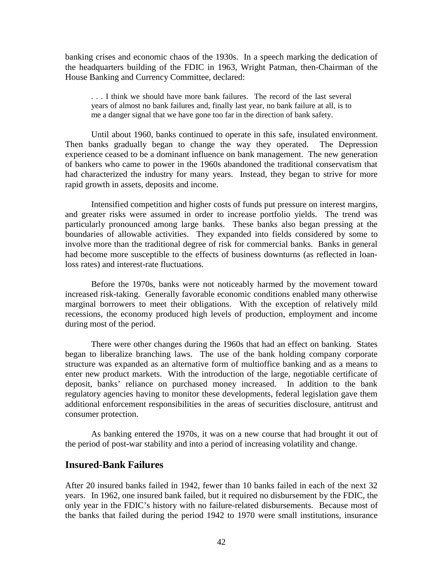banking crises and economic chaos of the 1930s. In a speech marking the dedication of the headquarters building of the FDIC in 1963, Wright Patman, then-Chairman of the House Banking and Currency Committee, declared:

. . . I think we should have more bank failures. The record of the last several years of almost no bank failures and, finally last year, no bank failure at all, is to me a danger signal that we have gone too far in the direction of bank safety.

Until about 1960, banks continued to operate in this safe, insulated environment. Then banks gradually began to change the way they operated. The Depression experience ceased to be a dominant influence on bank management. The new generation of bankers who came to power in the 1960s abandoned the traditional conservatism that had characterized the industry for many years. Instead, they began to strive for more rapid growth in assets, deposits and income.

Intensified competition and higher costs of funds put pressure on interest margins, and greater risks were assumed in order to increase portfolio yields. The trend was particularly pronounced among large banks. These banks also began pressing at the boundaries of allowable activities. They expanded into fields considered by some to involve more than the traditional degree of risk for commercial banks. Banks in general had become more susceptible to the effects of business downturns (as reflected in loanloss rates) and interest-rate fluctuations.

Before the 1970s, banks were not noticeably harmed by the movement toward increased risk-taking. Generally favorable economic conditions enabled many otherwise marginal borrowers to meet their obligations. With the exception of relatively mild recessions, the economy produced high levels of production, employment and income during most of the period.

There were other changes during the 1960s that had an effect on banking. States began to liberalize branching laws. The use of the bank holding company corporate structure was expanded as an alternative form of multioffice banking and as a means to enter new product markets. With the introduction of the large, negotiable certificate of deposit, banks' reliance on purchased money increased. In addition to the bank regulatory agencies having to monitor these developments, federal legislation gave them additional enforcement responsibilities in the areas of securities disclosure, antitrust and consumer protection.

As banking entered the 1970s, it was on a new course that had brought it out of the period of post-war stability and into a period of increasing volatility and change.

### **Insured-Bank Failures**

After 20 insured banks failed in 1942, fewer than 10 banks failed in each of the next 32 years. In 1962, one insured bank failed, but it required no disbursement by the FDIC, the only year in the FDIC's history with no failure-related disbursements. Because most of the banks that failed during the period 1942 to 1970 were small institutions, insurance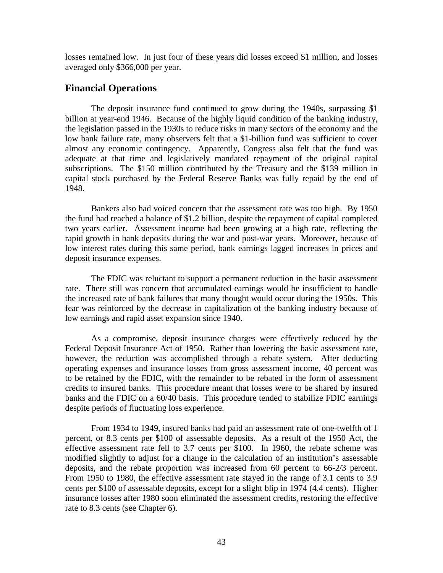losses remained low. In just four of these years did losses exceed \$1 million, and losses averaged only \$366,000 per year.

## **Financial Operations**

The deposit insurance fund continued to grow during the 1940s, surpassing \$1 billion at year-end 1946. Because of the highly liquid condition of the banking industry, the legislation passed in the 1930s to reduce risks in many sectors of the economy and the low bank failure rate, many observers felt that a \$1-billion fund was sufficient to cover almost any economic contingency. Apparently, Congress also felt that the fund was adequate at that time and legislatively mandated repayment of the original capital subscriptions. The \$150 million contributed by the Treasury and the \$139 million in capital stock purchased by the Federal Reserve Banks was fully repaid by the end of 1948.

Bankers also had voiced concern that the assessment rate was too high. By 1950 the fund had reached a balance of \$1.2 billion, despite the repayment of capital completed two years earlier. Assessment income had been growing at a high rate, reflecting the rapid growth in bank deposits during the war and post-war years. Moreover, because of low interest rates during this same period, bank earnings lagged increases in prices and deposit insurance expenses.

The FDIC was reluctant to support a permanent reduction in the basic assessment rate. There still was concern that accumulated earnings would be insufficient to handle the increased rate of bank failures that many thought would occur during the 1950s. This fear was reinforced by the decrease in capitalization of the banking industry because of low earnings and rapid asset expansion since 1940.

As a compromise, deposit insurance charges were effectively reduced by the Federal Deposit Insurance Act of 1950. Rather than lowering the basic assessment rate, however, the reduction was accomplished through a rebate system. After deducting operating expenses and insurance losses from gross assessment income, 40 percent was to be retained by the FDIC, with the remainder to be rebated in the form of assessment credits to insured banks. This procedure meant that losses were to be shared by insured banks and the FDIC on a 60/40 basis. This procedure tended to stabilize FDIC earnings despite periods of fluctuating loss experience.

From 1934 to 1949, insured banks had paid an assessment rate of one-twelfth of 1 percent, or 8.3 cents per \$100 of assessable deposits. As a result of the 1950 Act, the effective assessment rate fell to 3.7 cents per \$100. In 1960, the rebate scheme was modified slightly to adjust for a change in the calculation of an institution's assessable deposits, and the rebate proportion was increased from 60 percent to 66-2/3 percent. From 1950 to 1980, the effective assessment rate stayed in the range of 3.1 cents to 3.9 cents per \$100 of assessable deposits, except for a slight blip in 1974 (4.4 cents). Higher insurance losses after 1980 soon eliminated the assessment credits, restoring the effective rate to 8.3 cents (see Chapter 6).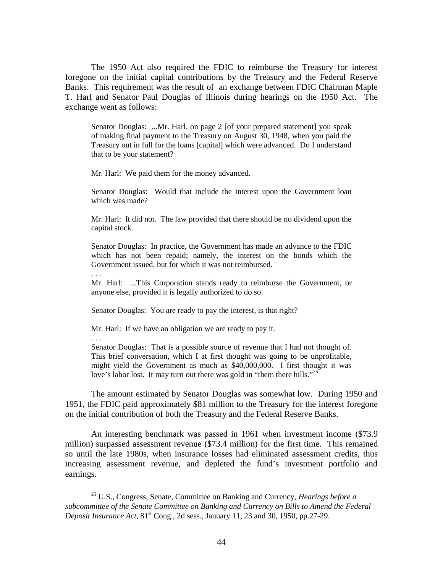The 1950 Act also required the FDIC to reimburse the Treasury for interest foregone on the initial capital contributions by the Treasury and the Federal Reserve Banks. This requirement was the result of an exchange between FDIC Chairman Maple T. Harl and Senator Paul Douglas of Illinois during hearings on the 1950 Act. The exchange went as follows:

Senator Douglas: ...Mr. Harl, on page 2 [of your prepared statement] you speak of making final payment to the Treasury on August 30, 1948, when you paid the Treasury out in full for the loans [capital] which were advanced. Do I understand that to be your statement?

Mr. Harl: We paid them for the money advanced.

Senator Douglas: Would that include the interest upon the Government loan which was made?

Mr. Harl: It did not. The law provided that there should be no dividend upon the capital stock.

Senator Douglas: In practice, the Government has made an advance to the FDIC which has not been repaid; namely, the interest on the bonds which the Government issued, but for which it was not reimbursed.

. . .

. . .

Mr. Harl: ...This Corporation stands ready to reimburse the Government, or anyone else, provided it is legally authorized to do so.

Senator Douglas: You are ready to pay the interest, is that right?

Mr. Harl: If we have an obligation we are ready to pay it.

Senator Douglas: That is a possible source of revenue that I had not thought of. This brief conversation, which I at first thought was going to be unprofitable, might yield the Government as much as \$40,000,000. I first thought it was love's labor lost. It may turn out there was gold in "them there hills."<sup>25</sup>

The amount estimated by Senator Douglas was somewhat low. During 1950 and 1951, the FDIC paid approximately \$81 million to the Treasury for the interest foregone on the initial contribution of both the Treasury and the Federal Reserve Banks.

An interesting benchmark was passed in 1961 when investment income (\$73.9 million) surpassed assessment revenue (\$73.4 million) for the first time. This remained so until the late 1980s, when insurance losses had eliminated assessment credits, thus increasing assessment revenue, and depleted the fund's investment portfolio and earnings.

 <sup>25</sup> U.S., Congress, Senate, Committee on Banking and Currency*, Hearings before a subcommittee of the Senate Committee on Banking and Currency on Bills to Amend the Federal Deposit Insurance Act*,  $81<sup>st</sup>$  Cong., 2d sess., January 11, 23 and 30, 1950, pp.27-29.